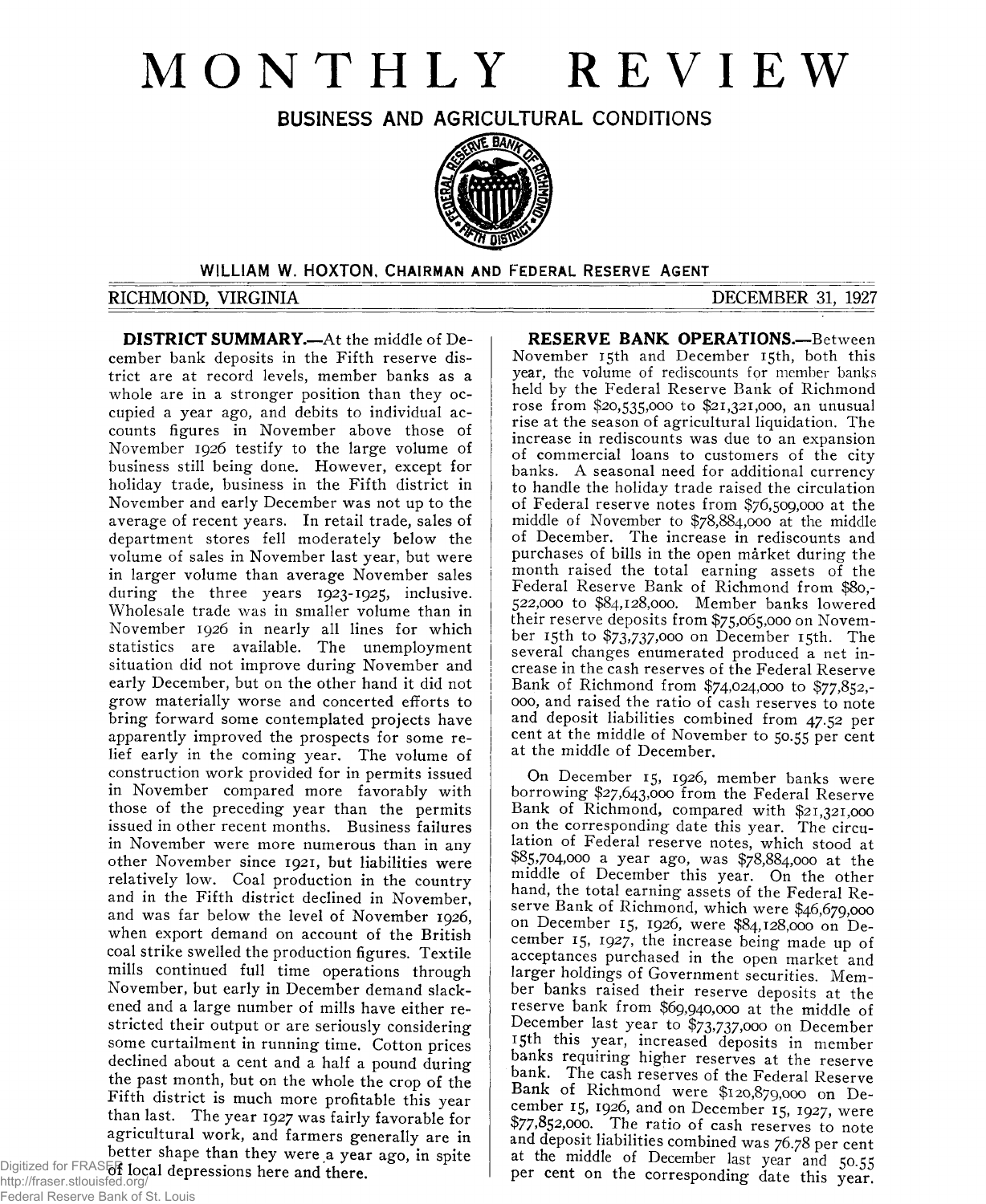# **MONTHLY REVIEW**

**BUSINESS AND AGRICULTURAL CONDITIONS**



# **WILLIAM W. HOXTON, CHAIRMAN AND FEDERAL RESERVE AGENT**

# **RICHMOND, VIRGINIA** DECEMBER 31, 1927

**DISTRICT SUMMARY.—**At the middle of December bank deposits in the Fifth reserve district are at record levels, member banks as a whole are in a stronger position than they occupied a year ago, and debits to individual accounts figures in November above those of November 1926 testify to the large volume of business still being done. However, except for holiday trade, business in the Fifth district in November and early December was not up to the average of recent years. In retail trade, sales of department stores fell moderately below the volume of sales in November last year, but were in larger volume than average November sales during the three years 1923-1925, inclusive. Wholesale trade was in smaller volume than in November 1926 in nearly all lines for which statistics are available. The unemployment situation did not improve during November and early December, but on the other hand it did not grow materially worse and concerted efforts to bring forward some contemplated projects have apparently improved the prospects for some relief early in the coming year. The volume of construction work provided for in permits issued in November compared more favorably with those of the preceding year than the permits issued in other recent months. Business failures in November were more numerous than in any other November since 1921, but liabilities were relatively low. Coal production in the country and in the Fifth district declined in November, and was far below the level of November 1926, when export demand on account of the British coal strike swelled the production figures. Textile mills continued full time operations through November, but early in December demand slackened and a large number of mills have either restricted their output or are seriously considering some curtailment in running time. Cotton prices declined about a cent and a half a pound during the past month, but on the whole the crop of the Fifth district is much more profitable this year than last. The year 1927 was fairly favorable for agricultural work, and farmers generally are in better shape than they were a year ago, in spite Digitized for FRASER local depressions here and there.

http://fraser.stlouisfed.org/ Federal Reserve Bank of St. Louis

**RESERVE BANK OPERATIONS.—**Between November 15th and December 15th, both this year, the volume of rediscounts for member banks held by the Federal Reserve Bank of Richmond rose from \$20,535,000 to \$21,321,000, an unusual rise at the season of agricultural liquidation. The increase in rediscounts was due to an expansion of commercial loans to customers of the city banks. A seasonal need for additional currency to handle the holiday trade raised the circulation of Federal reserve notes from \$76,509,000 at the middle of November to \$78,884,000 at the middle of December. The increase in rediscounts and purchases of bills in the open market during the month raised the total earning assets of the Federal Reserve Bank of Richmond from \$80,- 522,000 to \$84,128,000. Member banks lowered their reserve deposits from \$75,065,000 on November 15th to \$73,737,ooo on December 15th. The several changes enumerated produced a net increase in the cash reserves of the Federal Reserve Bank of Richmond from \$74,024,000 to \$77,852,- 000, and raised the ratio of cash reserves to note and deposit liabilities combined from 47.52 per cent at the middle of November to 50.55 per cent at the middle of December.

On December 15, 1926? member banks were borrowing \$27,643,000 from the Federal Reserve Bank of Richmond, compared with \$21,321,000 on the corresponding date this year. The circulation of Federal reserve notes, which stood at \$85,704,000 a year ago, was \$78,884,000 at the middle of December this year. On the other hand, the total earning assets of the Federal Reserve Bank of Richmond, which were \$46,679,000 on December 15, 1926, were \$84,128,000 on December 15, 1927, the increase being made up of acceptances purchased in the open market and larger holdings of Government securities. Member banks raised their reserve deposits at the reserve bank from \$69,940,000 at the middle of December last year to \$73,737,000 on December 15th this year, increased deposits in member banks requiring higher reserves at the reserve bank. The cash reserves of the Federal Reserve Bank of Richmond were \$120,879,000 on December 15, 1926, and on December 15, 1927, were  $$77,852,000$ . The ratio of cash reserves to note and deposit liabilities combined was 76.78 per cent at the middle of December last year and 50.55 per cent on the corresponding date this year.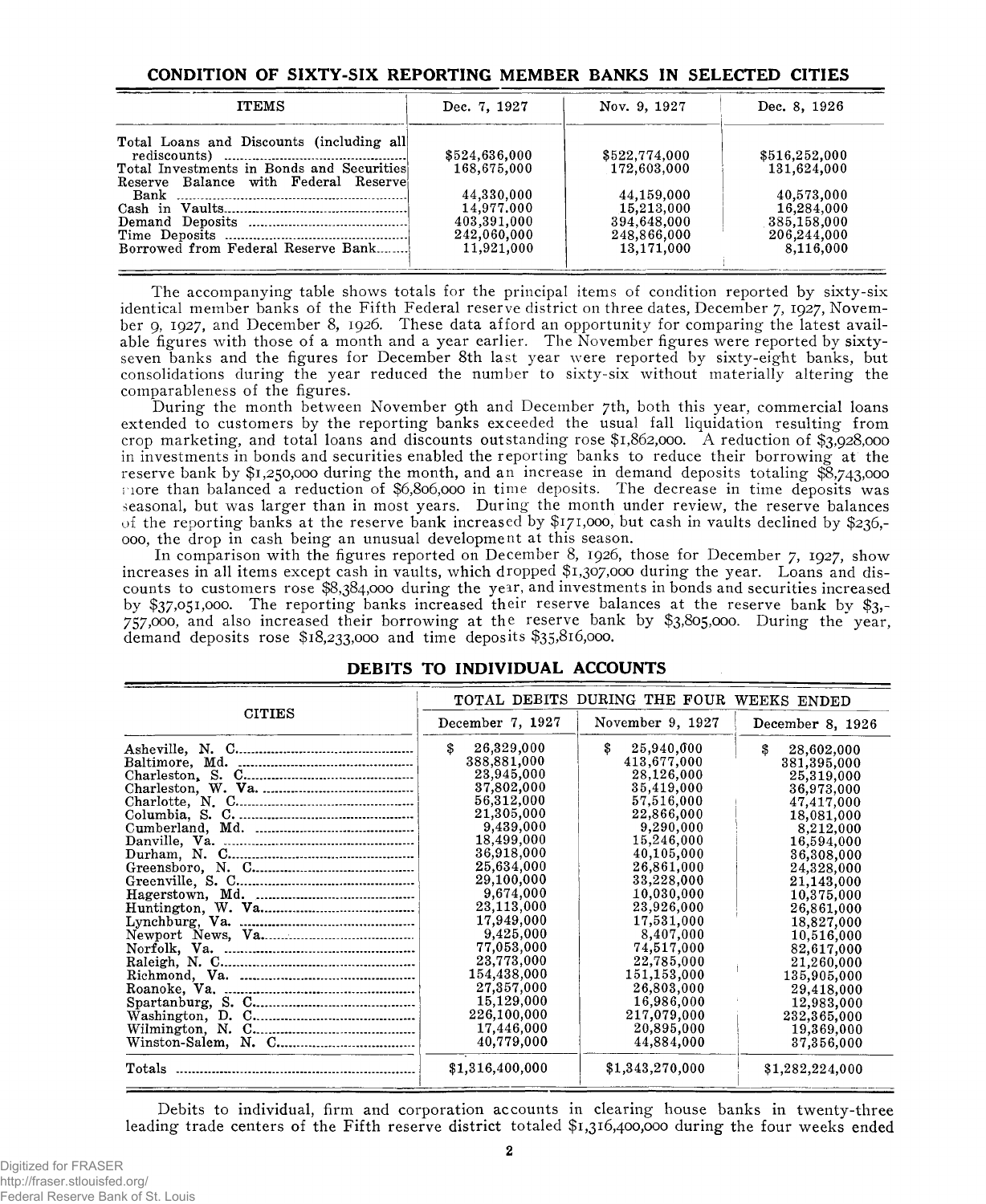## **CONDITION OF SIXTY-SIX REPORTING MEMBER BANKS IN SELECTED CITIES**

| <b>ITEMS</b>                                                                      | Dec. 7, 1927  | Nov. 9, 1927  | Dec. 8, 1926  |
|-----------------------------------------------------------------------------------|---------------|---------------|---------------|
| Total Loans and Discounts (including all)                                         | \$524,636,000 | \$522,774,000 | \$516,252,000 |
| Total Investments in Bonds and Securities<br>Reserve Balance with Federal Reserve | 168,675,000   | 172,603,000   | 131,624,000   |
|                                                                                   | 44,330,000    | 44,159,000    | 40,573,000    |
|                                                                                   | 14,977,000    | 15,213,000    | 16,284,000    |
|                                                                                   | 403,391,000   | 394,648,000   | 385,158,000   |
|                                                                                   | 242,060,000   | 248,866,000   | 206,244,000   |
| Borrowed from Federal Reserve Bank                                                | 11.921.000    | 13.171.000    | 8.116.000     |

The accompanying table shows totals for the principal items of condition reported by sixty-six identical member banks of the Fifth Federal reserve district on three dates, December 7, 1927, November 9, 1927, and December 8, 1926. These data afford an opportunity for comparing the latest available figures with those of a month and a year earlier. The November figures were reported by sixtyseven banks and the figures for December 8th last year were reported by sixty-eight banks, but consolidations during the year reduced the number to sixty-six without materially altering the comparableness of the figures.

During the month between November 9th and December 7th, both this year, commercial loans extended to customers by the reporting banks exceeded the usual fall liquidation resulting from crop marketing, and total loans and discounts outstanding rose \$1,862,000. A reduction of \$3,928,000 in investments in bonds and securities enabled the reporting banks to reduce their borrowing at the reserve bank by \$1,250,000 during the month, and an increase in demand deposits totaling  $\tilde{\mathcal{S}}$ ,743,000 more than balanced a reduction of \$6,806,000 in time deposits. The decrease in time deposits was seasonal, but was larger than in most years. During the month under review, the reserve balances of the reporting banks at the reserve bank increased by \$171,000, but cash in vaults declined by \$236,- 000, the drop in cash being an unusual development at this season.

In comparison with the figures reported on December 8, 1926, those for December 7, 1927, show increases in all items except cash in vaults, which dropped \$1,307,000 during the year. Loans and discounts to customers rose \$8,384,000 during the year, and investments in bonds and securities increased by \$37,051,000. The reporting banks increased their reserve balances at the reserve bank by \$3,- 757,000, and also increased their borrowing at the reserve bank by \$3,805,000. During the year, demand deposits rose \$18,233,000 and time deposits \$35,816,000.

|               | TOTAL DEBITS DURING THE FOUR WEEKS ENDED |                  |                  |  |  |  |  |
|---------------|------------------------------------------|------------------|------------------|--|--|--|--|
| <b>CITIES</b> | December 7, 1927                         | November 9, 1927 | December 8, 1926 |  |  |  |  |
|               | \$<br>26,329,000                         | \$<br>25,940,000 | £.<br>28,602,000 |  |  |  |  |
|               | 388,881,000                              | 413,677,000      | 381,395,000      |  |  |  |  |
|               | 23,945,000                               | 28.126.000       | 25,319,000       |  |  |  |  |
|               | 37,802,000                               | 35,419,000       | 36,973,000       |  |  |  |  |
|               | 56,312,000                               | 57,516,000       | 47,417,000       |  |  |  |  |
|               | 21,305,000                               | 22,866,000       | 18,081,000       |  |  |  |  |
|               | 9,439,000                                | 9,290,000        | 8,212,000        |  |  |  |  |
|               | 18,499,000                               | 15,246,000       | 16,594,000       |  |  |  |  |
|               | 36,918,000                               | 40,105,000       | 36,308,000       |  |  |  |  |
|               | 25,634,000                               | 26,861,000       | 24,328,000       |  |  |  |  |
|               | 29,100,000                               | 33,228,000       | 21,143,000       |  |  |  |  |
|               | 9,674,000                                | 10,030,000       | 10,375,000       |  |  |  |  |
|               | 23,113,000                               | 23,926,000       | 26,861,000       |  |  |  |  |
|               | 17,949,000                               | 17,531,000       | 18,827,000       |  |  |  |  |
|               | 9,425,000                                | 8,407,000        | 10,516,000       |  |  |  |  |
|               | 77.053,000                               | 74,517,000       | 82,617,000       |  |  |  |  |
|               | 23,773,000                               | 22,785,000       | 21,260,000       |  |  |  |  |
|               | 154,438,000                              | 151,153,000      | 135,905,000      |  |  |  |  |
|               | 27,357,000                               | 26,803,000       | 29,418,000       |  |  |  |  |
|               | 15,129,000                               | 16,986,000       | 12,983,000       |  |  |  |  |
|               | 226,100,000                              | 217,079,000      | 232,365,000      |  |  |  |  |
|               | 17,446,000                               | 20,895,000       | 19,369,000       |  |  |  |  |
|               | 40,779,000                               | 44,884,000       | 37,356,000       |  |  |  |  |
| Totals        | \$1,316,400,000                          | \$1,343,270,000  | \$1,282,224,000  |  |  |  |  |

#### **DEBITS TO INDIVIDUAL ACCOUNTS**

Debits to individual, firm and corporation accounts in clearing house banks in twenty-three leading trade centers of the Fifth reserve district totaled \$1,316,400,000 during the four weeks ended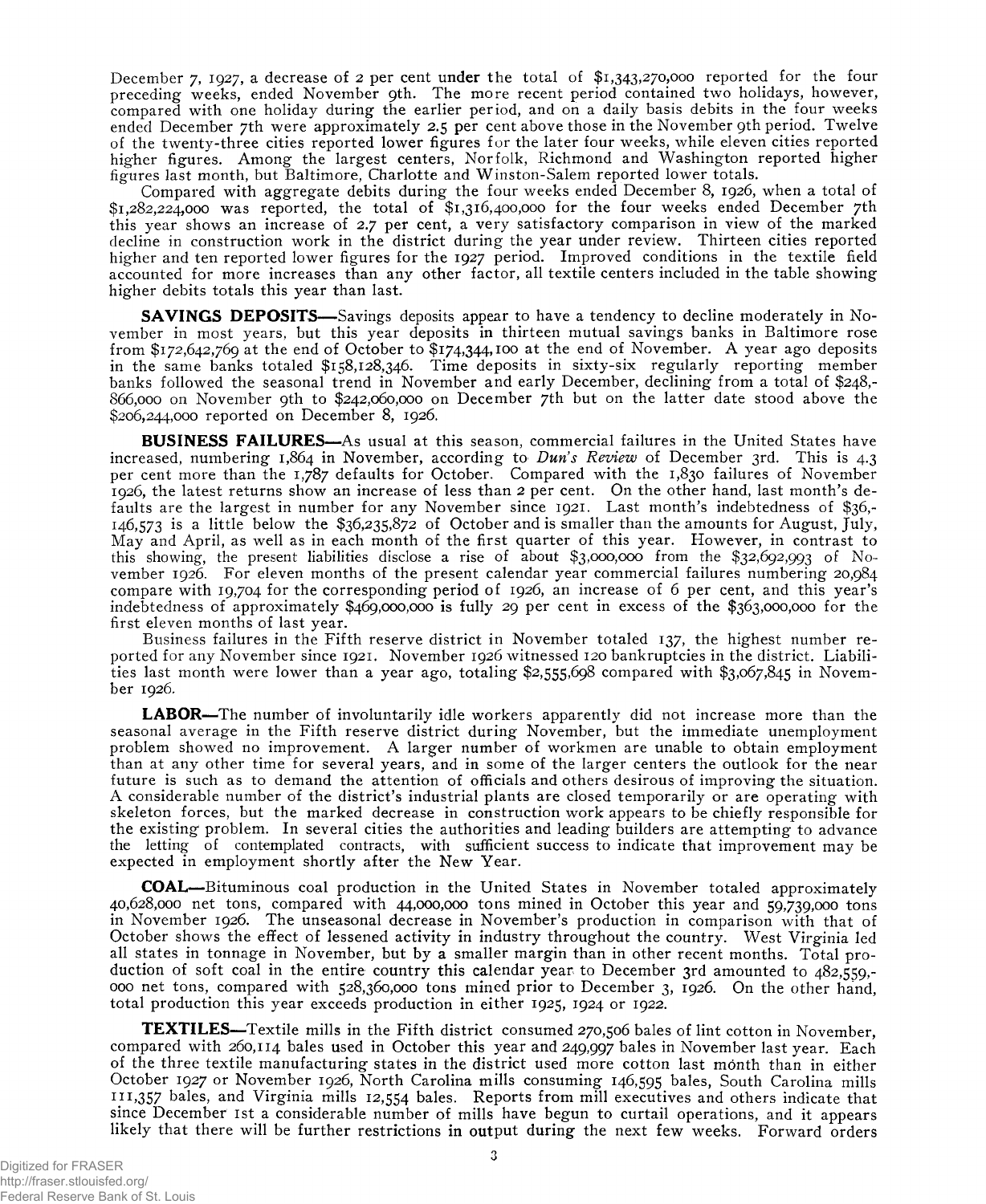December 7, 1927, a decrease of 2 per cent under the total of \$1,343,270,000 reported for the four preceding weeks, ended November 9th. The more recent period contained two holidays, however, compared with one holiday during the earlier period, and on a daily basis debits in the four weeks ended December 7th were approximately 2.5 per cent above those in the November 9th period. Twelve of the twenty-three cities reported lower figures for the later four weeks, while eleven cities reported higher figures. Among the largest centers, Norfolk, Richmond and Washington reported higher figures last month, but Baltimore, Charlotte and Winston-Salem reported lower totals.

Compared with aggregate debits during the four weeks ended December 8, 1926, when a total of \$1,282,224,000 was reported, the total of \$1,316,400,000 for the four weeks ended December 7th this year shows an increase of 2.7 per cent, a very satisfactory comparison in view of the marked decline in construction work in the district during the year under review. Thirteen cities reported higher and ten reported lower figures for the 1927 period. Improved conditions in the textile field accounted for more increases than any other factor, all textile centers included in the table showing higher debits totals this year than last.

**SAVINGS DEPOSITS—** Savings deposits appear to have a tendency to decline moderately in November in most years, but this year deposits in thirteen mutual savings banks in Baltimore rose from \$172,642,769 at the end of October to \$174,344,100 at the end of November. A year ago deposits in the same banks totaled \$158,128,346. Time deposits in sixty-six regularly reporting member banks followed the seasonal trend in November and early December, declining from a total of \$248,- 866.000 on November 9th to \$242,060,000 on December 7th but on the latter date stood above the \$206,244,000 reported on December 8, 1926.

**BUSINESS FAILURES**—As usual at this season, commercial failures in the United States have increased, numbering 1,864 in November, according to *Dun's Review* of December 3rd. This is 4.3 per cent more than the 1,787 defaults for October, Compared with the 1,830 failures of November 1926, the latest returns show an increase of less than 2 per cent. On the other hand, last month's defaults are the largest in number for any November since 1921. Last month's indebtedness of \$36,- 146,573 is a little below the \$36,235,872 of October and is smaller than the amounts for August, July, May and April, as well as in each month of the first quarter of this year. However, in contrast to this showing, the present liabilities disclose a rise of about \$3,000,000 from the \$32,692,993 of November 1926. For eleven months of the present calendar year commercial failures numbering 20,984 compare with 19,704 for the corresponding period of 1926, an increase of 6 per cent, and this year's indebtedness of approximately \$469,000,000 is fully 29 per cent in excess of the \$363,000,000 for the first eleven months of last year.

Business failures in the Fifth reserve district in November totaled 137, the highest number reported for any November since 1921. November 1926 witnessed 120 bankruptcies in the district. Liabilities last month were lower than a year ago, totaling \$2,555,698 compared with \$3,067,845 in November 1926.

**LABOR**—The number of involuntarily idle workers apparently did not increase more than the seasonal average in the Fifth reserve district during November, but the immediate unemployment problem showed no improvement. A larger number of workmen are unable to obtain employment than at any other time for several years, and in some of the larger centers the outlook for the near future is such as to demand the attention of officials and others desirous of improving the situation. A considerable number of the district's industrial plants are closed temporarily or are operating with skeleton forces, but the marked decrease in construction work appears to be chiefly responsible for the existing problem. In several cities the authorities and leading builders are attempting to advance the letting of contemplated contracts, with sufficient success to indicate that improvement may be expected in employment shortly after the New Year.

**COAL**—Bituminous coal production in the United States in November totaled approximately 40.628.000 net tons, compared with 44,000,000 tons mined in October this year and 59,739,000 tons in November 1926. The unseasonal decrease in November's production in comparison with that of October shows the effect of lessened activity in industry throughout the country. West Virginia led all states in tonnage in November, but by a smaller margin than in other recent months. Total production of soft coal in the entire country this calendar year to December 3rd amounted to 482,559,- 000 net tons, compared with 528,360,000 tons mined prior to December 3, 1926. On the other hand, total production this year exceeds production in either 1925, 1924 or 1922.

**TEXTILES**—Textile mills in the Fifth district consumed 270,506 bales of lint cotton in November, compared with 260,114 bales used in October this year and 249,997 bales in November last year. Each of the three textile manufacturing states in the district used more cotton last month than in either October 1927 or November 1926, North Carolina mills consuming 146,595 bales, South Carolina mills 111,357 bales, and Virginia mills 12,554 bales. Reports from mill executives and others indicate that since December 1st a considerable number of mills have begun to curtail operations, and it appears likely that there will be further restrictions in output during the next few weeks. Forward orders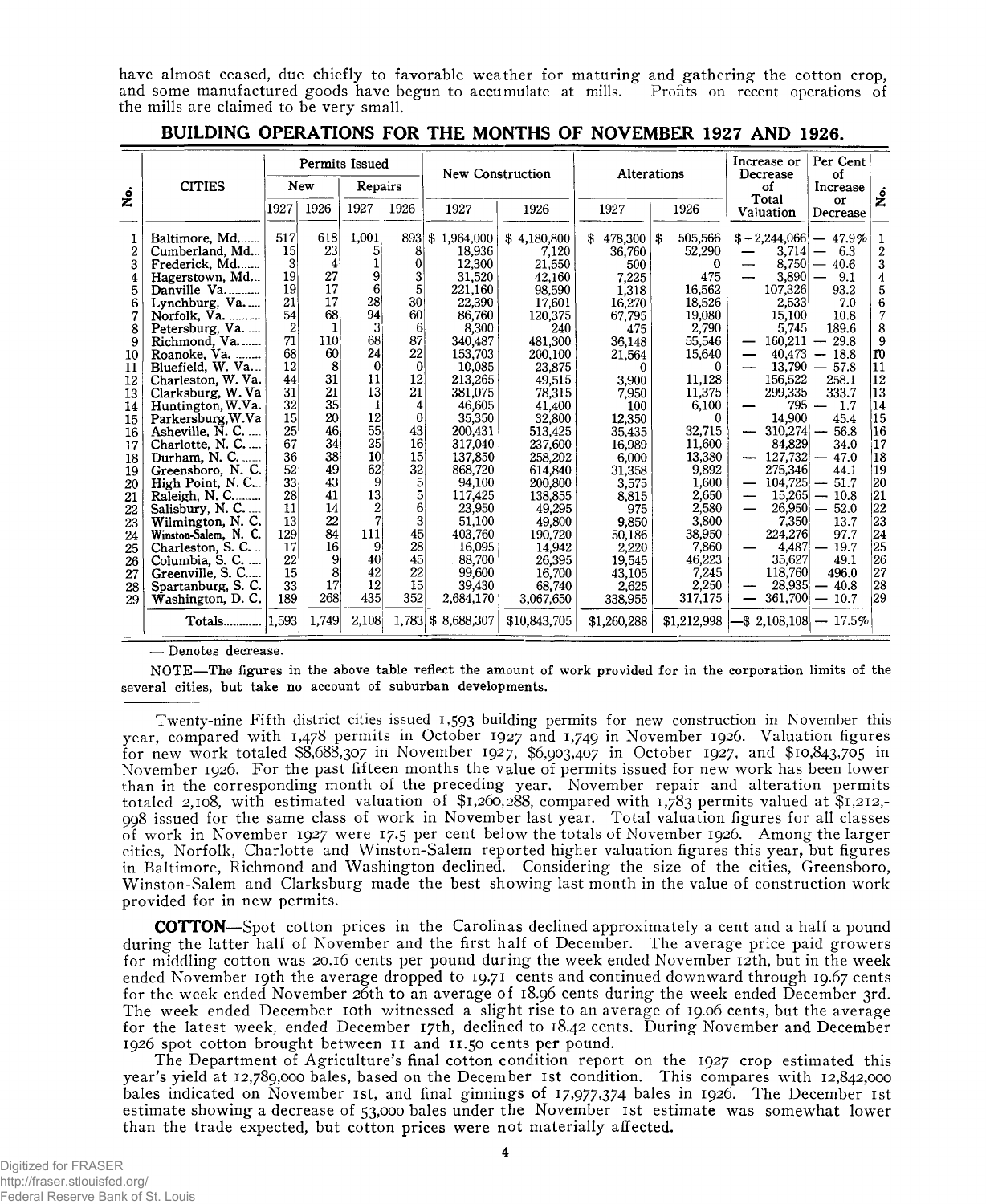have almost ceased, due chiefly to favorable weather for maturing and gathering the cotton crop, and some manufactured goods have begun to accumulate at mills. Profits on recent operations of the mills are claimed to be very small.

|                                                                                                                                                                           | <b>CITIES</b>                                                                                                                                                                                                                                                                                                                                                                                                                                                                                                                                                             | Permits Issued<br><b>New</b><br>Repairs                                                                                                                                                                                                |                                                                                                                                                                          |                                                                                                                                                                                                               | New Construction                                                                                                                                                                                                                              | Alterations                                                                                                                                                                                                                                                                                                      |                                                                                                                                                                                                                                                                                                              |                                                                                                                                                                                                                                                                        | Increase or<br>Decrease | Per Cent<br>of                                                                                                                                                                                                                                                              |                                                                                                                                                                                                                                                                                                                    |                                                                                                                                                                                                                                             |                                                                                                                                                                                                                                            |
|---------------------------------------------------------------------------------------------------------------------------------------------------------------------------|---------------------------------------------------------------------------------------------------------------------------------------------------------------------------------------------------------------------------------------------------------------------------------------------------------------------------------------------------------------------------------------------------------------------------------------------------------------------------------------------------------------------------------------------------------------------------|----------------------------------------------------------------------------------------------------------------------------------------------------------------------------------------------------------------------------------------|--------------------------------------------------------------------------------------------------------------------------------------------------------------------------|---------------------------------------------------------------------------------------------------------------------------------------------------------------------------------------------------------------|-----------------------------------------------------------------------------------------------------------------------------------------------------------------------------------------------------------------------------------------------|------------------------------------------------------------------------------------------------------------------------------------------------------------------------------------------------------------------------------------------------------------------------------------------------------------------|--------------------------------------------------------------------------------------------------------------------------------------------------------------------------------------------------------------------------------------------------------------------------------------------------------------|------------------------------------------------------------------------------------------------------------------------------------------------------------------------------------------------------------------------------------------------------------------------|-------------------------|-----------------------------------------------------------------------------------------------------------------------------------------------------------------------------------------------------------------------------------------------------------------------------|--------------------------------------------------------------------------------------------------------------------------------------------------------------------------------------------------------------------------------------------------------------------------------------------------------------------|---------------------------------------------------------------------------------------------------------------------------------------------------------------------------------------------------------------------------------------------|--------------------------------------------------------------------------------------------------------------------------------------------------------------------------------------------------------------------------------------------|
| ż                                                                                                                                                                         |                                                                                                                                                                                                                                                                                                                                                                                                                                                                                                                                                                           |                                                                                                                                                                                                                                        |                                                                                                                                                                          |                                                                                                                                                                                                               |                                                                                                                                                                                                                                               |                                                                                                                                                                                                                                                                                                                  |                                                                                                                                                                                                                                                                                                              |                                                                                                                                                                                                                                                                        |                         |                                                                                                                                                                                                                                                                             | of                                                                                                                                                                                                                                                                                                                 | Increase                                                                                                                                                                                                                                    | <u>ہ</u>                                                                                                                                                                                                                                   |
|                                                                                                                                                                           |                                                                                                                                                                                                                                                                                                                                                                                                                                                                                                                                                                           | 1927                                                                                                                                                                                                                                   | 1926                                                                                                                                                                     | 1927                                                                                                                                                                                                          | 1926                                                                                                                                                                                                                                          | 1927                                                                                                                                                                                                                                                                                                             | 1926                                                                                                                                                                                                                                                                                                         | 1927                                                                                                                                                                                                                                                                   |                         | 1926                                                                                                                                                                                                                                                                        | Total<br>Valuation                                                                                                                                                                                                                                                                                                 | or<br>Decrease                                                                                                                                                                                                                              |                                                                                                                                                                                                                                            |
| $\overline{2}$<br>3<br>4<br>5<br>6<br>7<br>8<br>9<br>10<br>11<br>12<br>13<br>14<br>15<br>16<br>17<br>18<br>19<br>20<br>21<br>22<br>23<br>24<br>25<br>26<br>27<br>28<br>29 | Baltimore, Md<br>Cumberland, Md<br>Frederick, Md<br>Hagerstown, Md<br>Danville Va<br>Lynchburg, Va<br>Norfolk, Va.<br>Petersburg, Va.<br>Richmond, Va.<br>Roanoke, Va.<br>Bluefield, W. Va<br>Charleston, W. Va.<br>Clarksburg, W. Va<br>Huntington, W.Va.<br>Parkersburg, W.Va<br>Asheville, N. C.<br>Charlotte, N. C.<br>Durham, N. C<br>Greensboro, N.C.<br>High Point, N.C<br>Raleigh, $N$ . C<br>Salisbury, N. C.<br>Wilmington, N. C.<br>Winston-Salem, N. C.<br>Charleston, S. C<br>Columbia, S. C.<br>Greenville, S. C<br>Spartanburg, S. C.<br>Washington, D. C. | 517<br>15 <sup>1</sup><br>$3^{\circ}$<br>19<br>19 <sup>°</sup><br>21<br>54<br>$\overline{2}$<br>71<br>68<br>12<br>44<br>31<br>32<br>15<br>$25^{\circ}$<br>67<br>36<br>52<br>33<br>28<br>11<br>13<br>129<br>17<br>22<br>15<br>33<br>189 | 618<br>23<br>4<br>27<br>17<br>17<br>68<br>1<br>110<br>60<br>8<br>31<br>21<br>35<br>20<br>46<br>34<br>38<br>49<br>43<br>41<br>14<br>22<br>84<br>16<br>9<br>8<br>17<br>268 | 1,001<br>5<br>1<br>9<br>6<br>28<br>94<br>3<br>68<br>24<br>$\boldsymbol{0}$<br>11<br>13<br>1<br>12<br>55<br>25<br>10<br>62<br>9<br>13<br>$\overline{2}$<br>$\overline{7}$<br>111<br>9<br>40<br>42<br>12<br>435 | 893<br>8<br>$\overline{0}$<br>$3^{\circ}$<br>5<br>30 <sup>1</sup><br>60<br>6<br>87<br>22<br>$\Omega$<br>12<br>21<br>4<br>0<br>43<br>16 <sup>1</sup><br>15 <sup>°</sup><br>32<br>5<br>5<br>6<br>$\vert$ 3<br>45<br>28<br>45<br>22<br>15<br>352 | \$1,964,000<br>18.936<br>12,300<br>31,520<br>221,160<br>22,390<br>86,760<br>8,300<br>340.487<br>153,703<br>10,085<br>213.265<br>381,075<br>46,605<br>35,350<br>200,431<br>317,040<br>137,850<br>868,720<br>94.100<br>117,425<br>23,950<br>51,100<br>403,760<br>16.095<br>88,700<br>99,600<br>39,430<br>2,684,170 | \$4,180,800<br>7.120<br>21.550<br>42,160<br>98.590<br>17.601<br>120,375<br>240<br>481,300<br>200,100<br>23,875<br>49,515<br>78,315<br>41,400<br>32,800<br>513,425<br>237,600<br>258.202<br>614,840<br>200.800<br>138,855<br>49,295<br>49,800<br>190,720<br>14.942<br>26,395<br>16,700<br>68.740<br>3,067,650 | 478,300<br>S.<br>36.760<br>500<br>7,225<br>1,318<br>16,270<br>67.795<br>475<br>36,148<br>21,564<br>3,900<br>7,950<br>100<br>12,350<br>35,435<br>16,989<br>6.000<br>31,358<br>3,575<br>8,815<br>975<br>9,850<br>50,186<br>2,220<br>19,545<br>43,105<br>2,625<br>338,955 | \$<br>0                 | 505,566<br>52,290<br>0<br>475<br>16,562<br>18,526<br>19,080<br>2,790<br>55,546<br>15,640<br>0<br>11,128<br>11.375<br>6,100<br>$\theta$<br>32,715<br>11,600<br>13,380<br>9,892<br>1,600<br>2,650<br>2,580<br>3.800<br>38,950<br>7.860<br>46,223<br>7,245<br>2,250<br>317,175 | $$-2,244,066$ - 47.9%<br>3.714<br>8,750<br>3,890<br>107,326<br>2,533<br>15,100<br>5,745<br>160,211<br>40,473<br>13,790<br>156,522<br>299,335<br>795<br>14,900<br>310,274<br>-<br>84,829<br>127,732<br>275,346<br>104,725<br>—<br>15.265<br>—<br>26,950<br>7,350<br>224,276<br>4.487<br>35,627<br>118,760<br>28,935 | 6.3<br>40.6<br>9.1<br>93.2<br>7.0<br>10.8<br>189.6<br>29.8<br>18.8<br>57.8<br>258.1<br>333.7<br>1.7<br>45.4<br>56.8<br>34.0<br>47.0<br>44.1<br>51.7<br>10.8<br>52.0<br>13.7<br>97.7<br>19.7<br>49.1<br>496.0<br>$-40.8$<br>$361,700 - 10.7$ | 1<br>$\overline{\mathbf{2}}$<br>3<br>4<br>5<br>$6\phantom{1}6$<br>7<br>8<br>9<br>n<br> 11<br>12<br>13<br>14<br>15<br>16<br>17<br>18<br>19<br>20<br>21<br>$\bar{22}$<br>$\bar{23}$<br>24<br>$\overline{25}$<br>$\bar{26}$<br>27<br>28<br>29 |
|                                                                                                                                                                           | Totals  1,593                                                                                                                                                                                                                                                                                                                                                                                                                                                                                                                                                             |                                                                                                                                                                                                                                        | 1,749                                                                                                                                                                    | 2,108                                                                                                                                                                                                         | 1.783                                                                                                                                                                                                                                         | \$8,688,307                                                                                                                                                                                                                                                                                                      | \$10,843,705                                                                                                                                                                                                                                                                                                 | \$1,260,288                                                                                                                                                                                                                                                            |                         | \$1,212,998                                                                                                                                                                                                                                                                 | $-$ \$ 2,108,108                                                                                                                                                                                                                                                                                                   | $-17.5\%$                                                                                                                                                                                                                                   |                                                                                                                                                                                                                                            |

**BUILDING OPERATIONS FOR THE MONTHS OF NOVEMBER 1927 AND 1926.**

— Denotes decrease.

NOTE— The figures in the above table reflect the amount of work provided for in the corporation limits of the several cities, but take no account of suburban developments.

Twenty-nine Fifth district cities issued i ,593 building permits for new construction in November this year, compared with 1,478 permits in October 1927 and 1,749 in November 1926. Valuation figures for new work totaled \$8,688,307 in November 1927, \$6,903,407 in October 1927, and \$10,843,705 in November 1926. For the past fifteen months the value of permits issued for new work has been lower than in the corresponding month of the preceding year. November repair and alteration permits totaled 2,108, with estimated valuation of \$1,260,288, compared with 1,783 permits valued at \$1,212,- 998 issued for the same class of work in November last year. Total valuation figures for all classes of work in November 1927 were 17.5 per cent below the totals of November 1926. Among the larger cities, Norfolk, Charlotte and Winston-Salem reported higher valuation figures this year, but figures in Baltimore, Richmond and Washington declined. Considering the size of the cities, Greensboro, Winston-Salem and Clarksburg made the best showing last month in the value of construction work provided for in new permits.

**COTTON—**Spot cotton prices in the Carolinas declined approximately a cent and a half a pound during the latter half of November and the first half of December. The average price paid growers for middling cotton was 20.16 cents per pound during the week ended November 12th, but in the week ended November 19th the average dropped to 19.71 cents and continued downward through 19.67 cents for the week ended November 26th to an average of 18.96 cents during the week ended December 3rd. The week ended December 10th witnessed a slight rise to an average of 19.06 cents, but the average for the latest week, ended December 17th, declined to 18.42 cents. During November and December 1926 spot cotton brought between 11 and 11.50 cents per pound.

The Department of Agriculture's final cotton condition report on the 1927 crop estimated this year's yield at 12,789,000 bales, based on the December 1st condition. This compares with 12,842,000 bales indicated on November 1st, and final ginnings of 17,977,374 bales in 1926. The December 1st estimate showing a decrease of 53,000 bales under the November 1st estimate was somewhat lower than the trade expected, but cotton prices were not materially affected.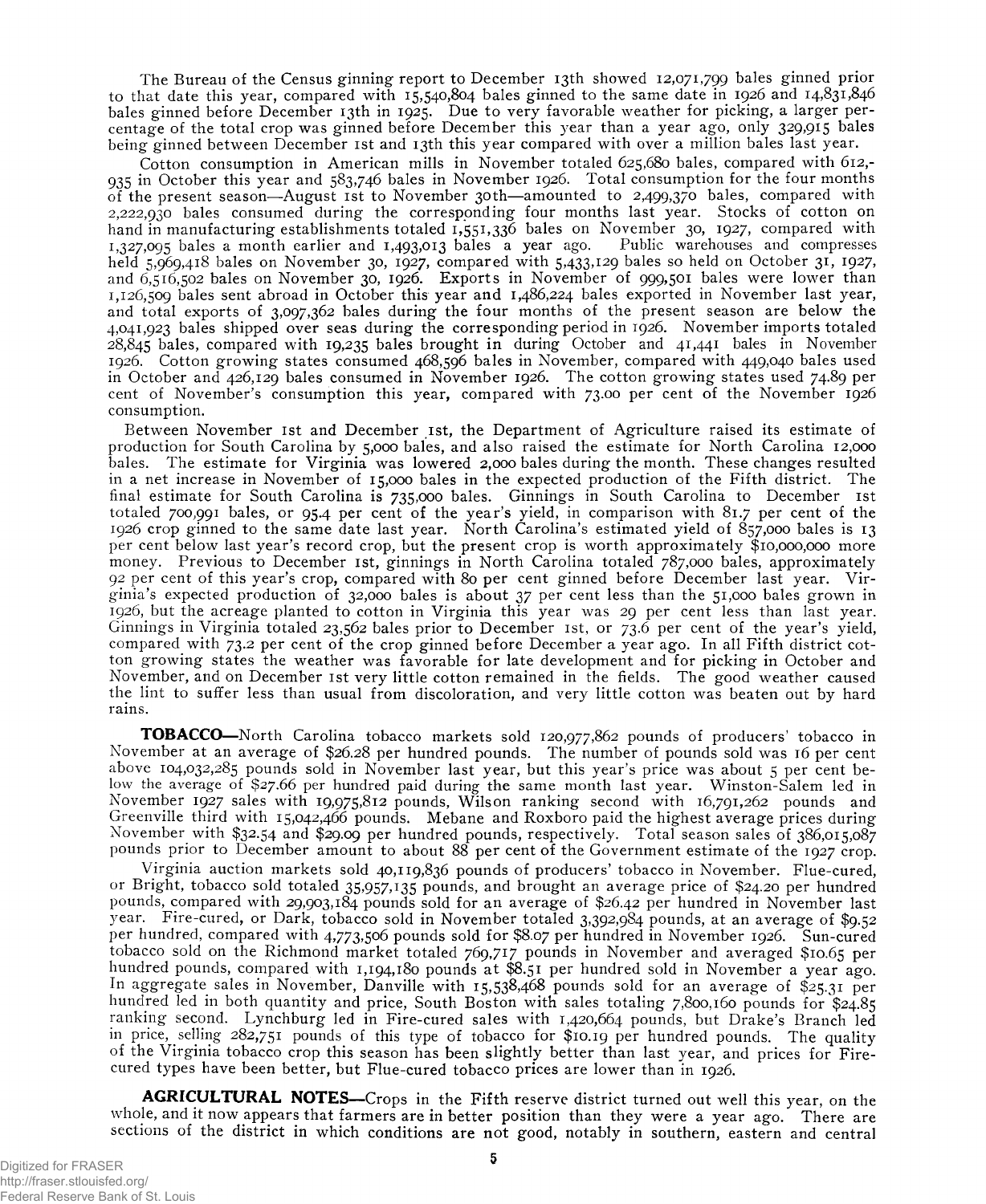The Bureau of the Census ginning report to December 13th showed 12,071,799 bales ginned prior to that date this year, compared with 15,540,804 bales ginned to the same date in 1926 and 14,831,846 bales ginned before December 13th in 1925. Due to very favorable weather for picking, a larger percentage of the total crop was ginned before December this year than a year ago, only 329,915 bales being ginned between December 1st and 13th this year compared with over a million bales last year.

Cotton consumption in American mills in November totaled 625,680 bales, compared with 612,- 935 in October this year and 583,746 bales in November 1926. Total consumption for the four months of the present season—August 1st to November 30th—amounted to 2,499,370 bales, compared with 2,222,930 bales consumed during the corresponding four months last year. Stocks of cotton on hand in manufacturing establishments totaled  $\overline{1,551,336}$  bales on November 30, 1927, compared with  $1.327,005$  bales a month earlier and  $1.403,013$  bales a year ago. Public warehouses and compresses  $1,327,005$  bales a month earlier and  $1,403,013$  bales a year ago. held 5,969,418 bales on November 30, 1927, compared with 5,433,129 bales so held on October 31, 1927, and 6,516,502 bales on November 30, 1926. Exports in November of 999,501 bales were lower than 1,126,509 bales sent abroad in October this year and 1,486,224 bales exported in November last year, and total exports of 3,097,362 bales during the four months of the present season are below the 4,041,923 bales shipped over seas during the corresponding period in 1926. November imports totaled 28,845 bales, compared with 19,235 bales brought in during October and 41,441 bales in November 1926. Cotton growing states consumed 468,596 bales in November, compared with 449,040 bales used in October and 426,129 bales consumed in November 1926. The cotton growing states used 74.89 per cent of November's consumption this year, compared wuth 73.00 per cent of the November 1926 consumption.

Between November 1st and December 1st, the Department of Agriculture raised its estimate of production for South Carolina by 5,000 bales, and also raised the estimate for North Carolina 12,000 bales. The estimate for Virginia was lowered 2,000 bales during the month. These changes resulted The estimate for Virginia was lowered 2,000 bales during the month. These changes resulted in a net increase in November of 15,000 bales in the expected production of the Fifth district. The final estimate for South Carolina is 735,000 bales. Ginnings in South Carolina to December 1st totaled 700,991 bales, or 95.4 per cent of the year's yield, in comparison with 81.7 per cent of the 1926 crop ginned to the same date last year. North Carolina's estimated yield of 857,000 bales is 13 per cent below last year's record crop, but the present crop is worth approximately \$10,000,000 more money. Previous to December 1st, ginnings in North Carolina totaled 787,000 bales, approximately 92 per cent of this year's crop, compared with 80 per cent ginned before December last year. Virginia's expected production of 32,000 bales is about 37 per cent less than the 51,000 bales grown in 1926, but the acreage planted to cotton in Virginia this year was 29 per cent less than last year. Ginnings in Virginia totaled 23,562 bales prior to December 1st, or 73.6 per cent of the year's yield, compared with 73.2 per cent of the crop ginned before December a year ago. In all Fifth district cotton growing states the weather was favorable for late development and for picking in October and November, and on December 1st very little cotton remained in the fields. The good weather caused the lint to suffer less than usual from discoloration, and very little cotton was beaten out by hard rains.

**TOBACCO**—North Carolina tobacco markets sold 120,977,862 pounds of producers' tobacco in November at an average of \$26.28 per hundred pounds. The number of pounds sold was 16 per cent above 104,032,285 pounds sold in November last year, but this year's price was about 5 per cent below the average of \$27.66 per hundred paid during the same month last year. Winston-Salem led in November 1927 sales with 19,975,812 pounds, Wilson ranking second with 16,791,262 pounds and Greenville third with 15,042,466 pounds. Mebane and Roxboro paid the highest average prices during November with \$32.54 and \$29.09 per hundred pounds, respectively. Total season sales of 386,015,087 pounds prior to December amount to about 88 per cent of the Government estimate of the 1927 crop.

Virginia auction markets sold 40,119,836 pounds of producers' tobacco in November. Flue-cured, or Bright, tobacco sold totaled 35,957,135 pounds, and brought an average price of \$24.20 per hundred pounds, compared with 29,903,184 pounds sold for an average of \$26.42 per hundred in November last year. Fire-cured, or Dark, tobacco sold in November totaled 3,392,984 pounds, at an average of \$9.52 per hundred, compared with 4,773,506 pounds sold for \$8.07 per hundred in November 1926. Sun-cured tobacco sold on the Richmond market totaled 769,717 pounds in November and averaged \$10.65 per hundred pounds, compared with 1,194,180 pounds at \$8.51 per hundred sold in November a year ago. In aggregate sales in November, Danville with 15,538,468 pounds sold for an average of \$25.31 per hundred led in both quantity and price, South Boston with sales totaling 7,800,160 pounds for \$24.85 ranking second. Lynchburg led in Fire-cured sales with 1,420,664 pounds, but Drake's Branch led in price, selling 282,751 pounds of this type of tobacco for \$10.19 per hundred pounds. The quality of the Virginia tobacco crop this season has been slightly better than last year, and prices for Firecured types have been better, but Flue-cured tobacco prices are lower than in 1926.

**AGRICULTURAL NOTES—**Crops in the Fifth reserve district turned out well this year, on the whole, and it now appears that farmers are in better position than they were a year ago. There are sections of the district in which conditions are not good, notably in southern, eastern and central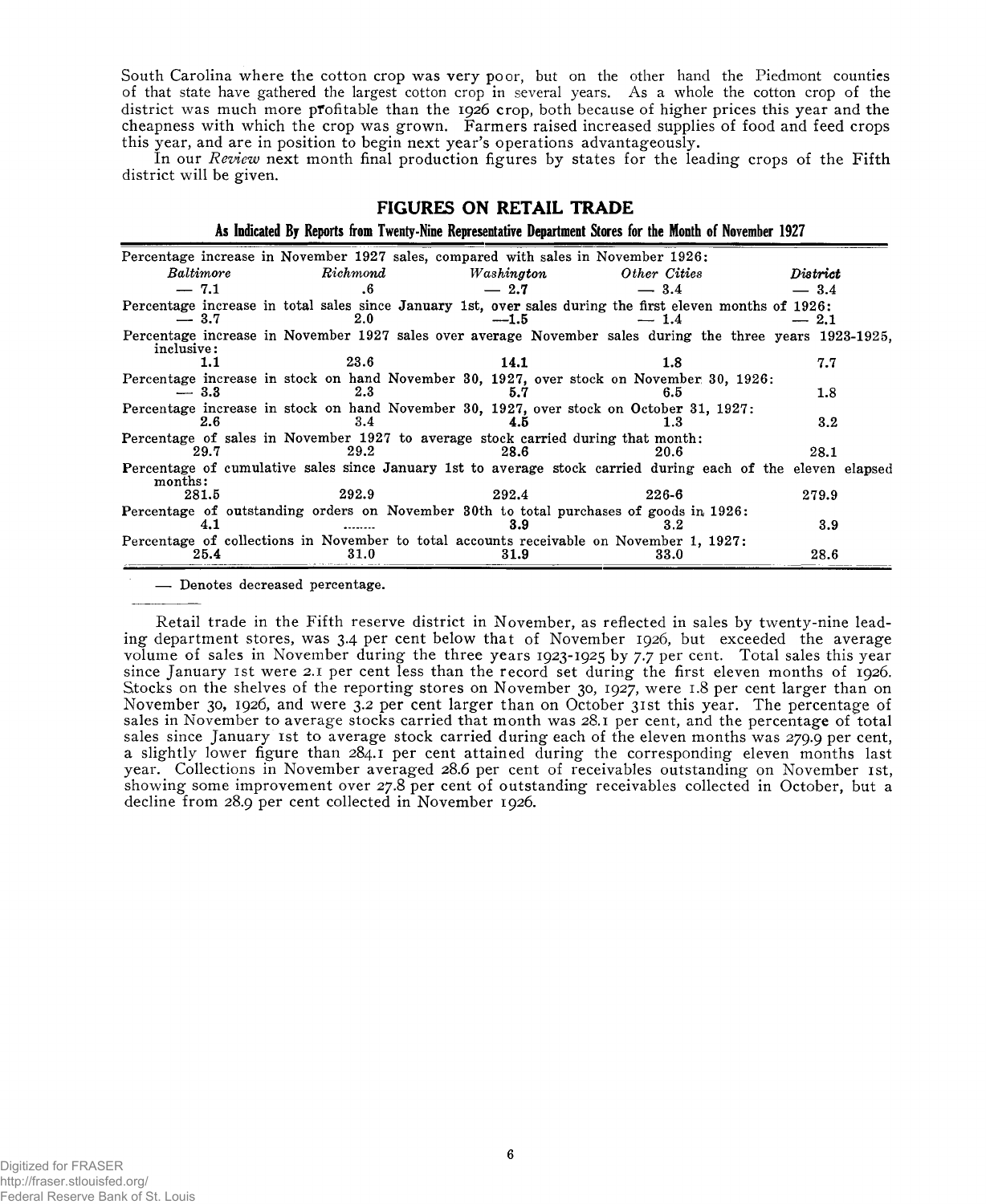South Carolina where the cotton crop was very poor, but on the other hand the Piedmont counties of that state have gathered the largest cotton crop in several years. As a whole the cotton crop of the district was much more profitable than the 1926 crop, both because of higher prices this year and the cheapness with which the crop was grown. Farmers raised increased supplies of food and feed crops this year, and are in position to begin next year's operations advantageously.

In our *Review* next month final production figures by states for the leading crops of the Fifth district will be given.

#### **FIGURES ON RETAIL TRADE**

**As Indicated By Reports from Twenty-Nine Representative Department Stores for the Month of November 1927**

|            |           |                  |            | Percentage increase in November 1927 sales, compared with sales in November 1926:                           |              |                  |  |
|------------|-----------|------------------|------------|-------------------------------------------------------------------------------------------------------------|--------------|------------------|--|
|            | Baltimore | $\emph{Richard}$ | Washington |                                                                                                             | Other Cities | District         |  |
| $-7.1$     |           | $.6\,$           | $-2.7$     |                                                                                                             | $-3.4$       | $-3.4$           |  |
| $-3.7$     |           | 2.0              | $-1.5$     | Percentage increase in total sales since January 1st, over sales during the first eleven months of 1926:    | $-1.4$       | $-2.1$           |  |
| inclusive: |           |                  |            | Percentage increase in November 1927 sales over average November sales during the three years 1923-1925,    |              |                  |  |
|            | 1.1       | 23.6             | 14.1       |                                                                                                             | 1.8          | 7.7              |  |
| $-3.3$     |           | $2.3\,$          |            | Percentage increase in stock on hand November 30, 1927, over stock on November 30, 1926:                    | 6.5          | 1.8              |  |
|            | 2.6       | 3.4              | 4.5        | Percentage increase in stock on hand November 30, 1927, over stock on October 31, 1927:                     | 1.3          | $3.2\phantom{0}$ |  |
|            | 29.7      | 29.2             | 28.6       | Percentage of sales in November 1927 to average stock carried during that month:                            | 20.6         | 28.1             |  |
| months:    |           |                  |            | Percentage of cumulative sales since January 1st to average stock carried during each of the eleven elapsed |              |                  |  |
|            | 281.5     | 292.9            | 292.4      |                                                                                                             | 226-6        | 279.9            |  |
|            | 4.1       |                  | 3.9        | Percentage of outstanding orders on November 30th to total purchases of goods in 1926:                      | 32           | 3.9              |  |
|            | 25.4      | 31.0             | 31.9       | Percentage of collections in November to total accounts receivable on November 1, 1927:                     | 33.0         | 28.6             |  |

— Denotes decreased percentage.

Retail trade in the Fifth reserve district in November, as reflected in sales by twenty-nine leading department stores, was 3.4 per cent below that of November 1926, but exceeded the average volume of sales in November during the three years 1923-1925 by 7.7 per cent. Total sales this year since January 1st were 2.1 per cent less than the record set during the first eleven months of 1926. Stocks on the shelves of the reporting stores on November 30, 1927, were 1.8 per cent larger than on November 30, 1926, and were 3.2 per cent larger than on October 31st this year. The percentage of sales in November to average stocks carried that month was 28.1 per cent, and the percentage of total sales since January 1st to average stock carried during each of the eleven months was 279.9 per cent, a slightly lower figure than 284.1 per cent attained during the corresponding eleven months last year. Collections in November averaged 28.6 per cent of receivables outstanding on November 1st, showing some improvement over 27.8 per cent of outstanding receivables collected in October, but a decline from 28.9 per cent collected in November 1926.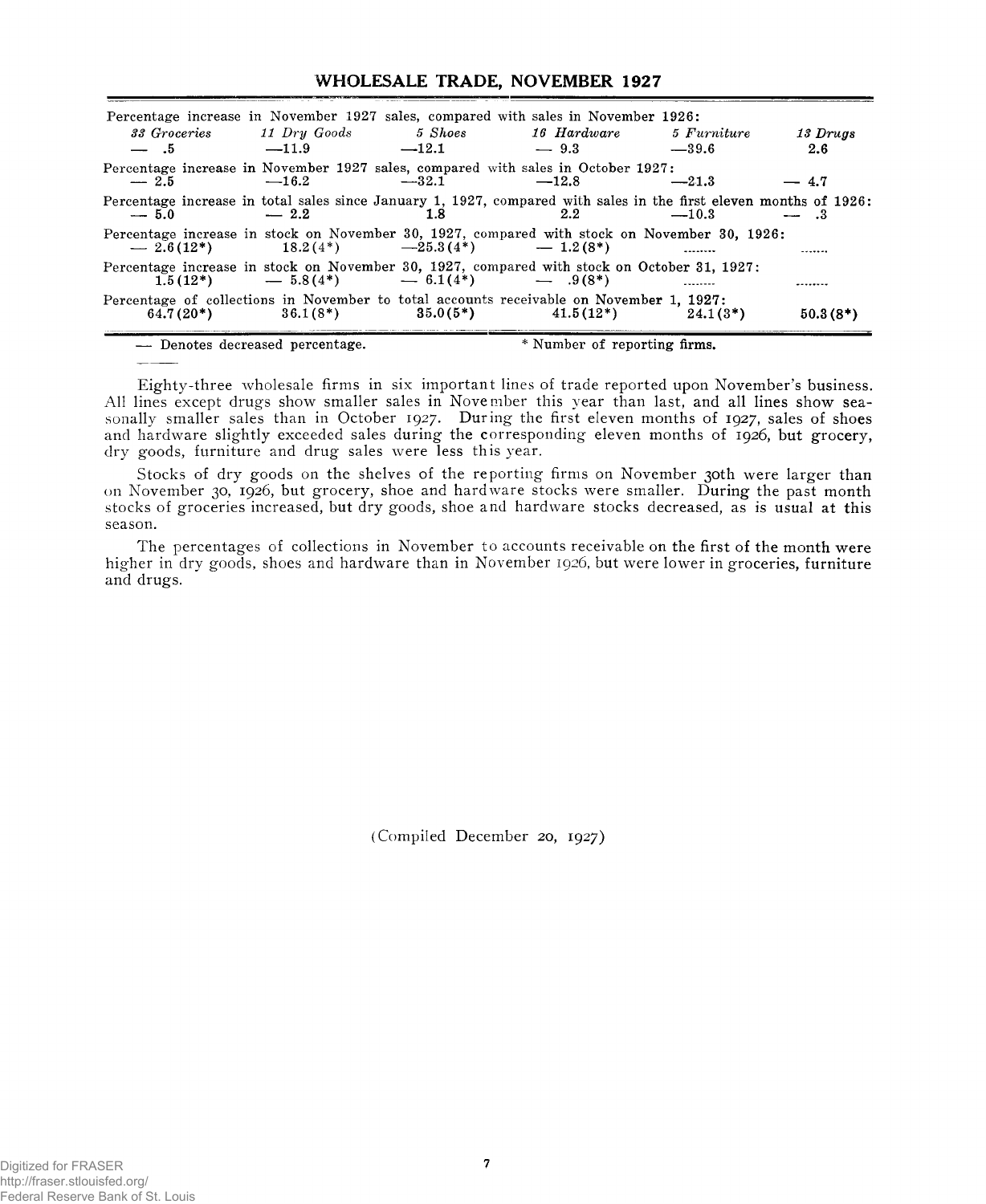# **WHOLESALE TRADE, NOVEMBER 1927**

|        |                                                   |                 | Percentage increase in November 1927 sales, compared with sales in November 1926:                                                                   |                          |            |
|--------|---------------------------------------------------|-----------------|-----------------------------------------------------------------------------------------------------------------------------------------------------|--------------------------|------------|
|        |                                                   |                 | 33 Groceries 11 Dry Goods 5 Shoes 16 Hardware 5 Furniture                                                                                           |                          | 13 Drugs   |
| $-15$  | $-11.9$                                           | $-12.1 - 9.3$   |                                                                                                                                                     | $-39.6$                  | 2.6        |
| $-2.5$ | $-16.2$                                           | $-32.1$ $-12.8$ | Percentage increase in November 1927 sales, compared with sales in October 1927:                                                                    | $-21.3$                  | $-4.7$     |
| $-5.0$ | $-2.2$                                            | 1.8             | Percentage increase in total sales since January 1, 1927, compared with sales in the first eleven months of 1926:<br>2.2                            | $-10.3$                  | $-3$       |
|        | $-2.6(12^*)$ $18.2(4^*)$ $-25.3(4^*)$ $-1.2(8^*)$ |                 | Percentage increase in stock on November 30, 1927, compared with stock on November 30, 1926:                                                        | $\overline{\phantom{a}}$ |            |
|        | 1.5(12*) $-5.8(4^*)$ $-6.1(4^*)$ $-9(8^*)$        |                 | Percentage increase in stock on November 30, 1927, compared with stock on October 31, 1927;                                                         | $\sim$                   |            |
|        |                                                   |                 | Percentage of collections in November to total accounts receivable on November 1, 1927:<br>$64.7(20*)$ $36.1(8*)$ $35.0(5*)$ $41.5(12*)$ $24.1(3*)$ |                          | $50.3(8*)$ |
|        | - Denotes decreased percentage.                   |                 | * Number of reporting firms.                                                                                                                        |                          |            |

Eighty-three wholesale firms in six important lines of trade reported upon November's business. All lines except drugs show smaller sales in November this year than last, and all lines show seasonally smaller sales than in October 1927. During the first eleven months of 1927, sales of shoes and hardware slightly exceeded sales during the corresponding eleven months of 1926, but groc**ery**, dry goods, furniture and drug sales were less this year.

Stocks of dry goods on the shelves of the reporting firms on November 30th were larger than on November 30, 1926, but grocery, shoe and hardware stocks were smaller. During the past month stocks of groceries increased, but dry goods, shoe and hardware stocks decreased, as is usual at this season.

The percentages of collections in November to accounts receivable on the first of the month were higher in dry goods, shoes and hardware than in November 1926, but were lower in groceries, furniture and drugs.

(Compiled December 20, 1927)